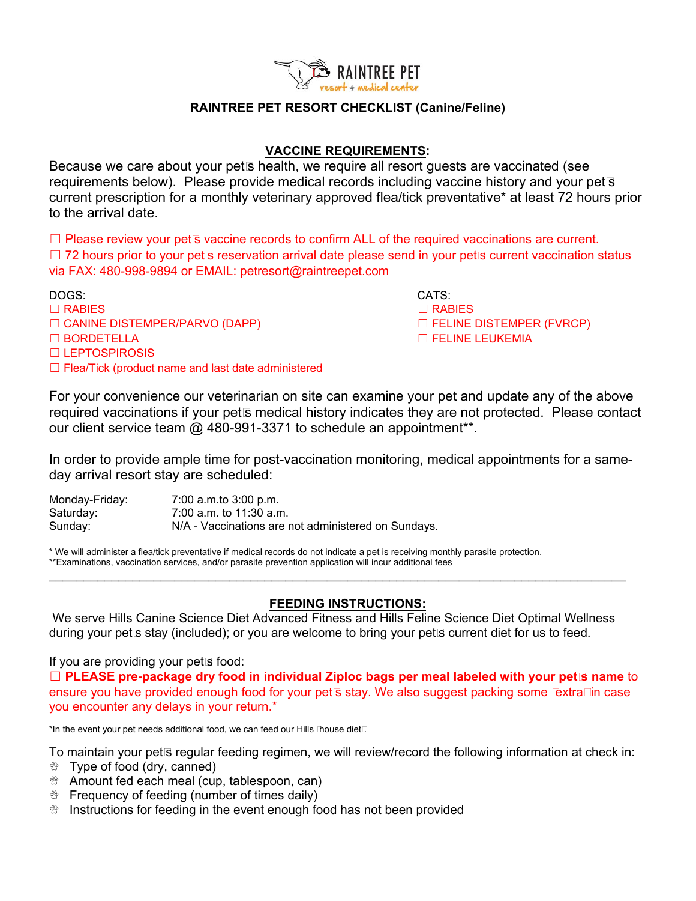

## **RAINTREE PET RESORT CHECKLIST (Canine/Feline)**

## **VACCINE REQUIREMENTS:**

Because we care about your pet's health, we require all resort guests are vaccinated (see requirements below). Please provide medical records including vaccine history and your pet's current prescription for a monthly veterinary approved flea/tick preventative\* at least 72 hours prior to the arrival date.

 $\Box$  Please review your pet's vaccine records to confirm ALL of the required vaccinations are current. □ 72 hours prior to your pet's reservation arrival date please send in your pet's current vaccination status via FAX: 480-998-9894 or EMAIL: petresort@raintreepet.com

DOGS: CATS:

- 
- ☐ CANINE DISTEMPER/PARVO (DAPP) ☐ FELINE DISTEMPER (FVRCP)
- 
- ☐ LEPTOSPIROSIS
- ☐ Flea/Tick (product name and last date administered

 $\Box$  RABIES  $\Box$  RABIES ☐ BORDETELLA ☐ FELINE LEUKEMIA

For your convenience our veterinarian on site can examine your pet and update any of the above required vaccinations if your pet's medical history indicates they are not protected. Please contact our client service team @ 480-991-3371 to schedule an appointment<sup>\*\*</sup>.

In order to provide ample time for post-vaccination monitoring, medical appointments for a sameday arrival resort stay are scheduled:

| Monday-Friday: | 7:00 a.m.to 3:00 p.m.                               |
|----------------|-----------------------------------------------------|
| Saturday:      | 7:00 a.m. to 11:30 a.m.                             |
| Sunday:        | N/A - Vaccinations are not administered on Sundays. |

\* We will administer a flea/tick preventative if medical records do not indicate a pet is receiving monthly parasite protection. \*\*Examinations, vaccination services, and/or parasite prevention application will incur additional fees  $\mathcal{L}_\mathcal{L} = \mathcal{L}_\mathcal{L} = \mathcal{L}_\mathcal{L} = \mathcal{L}_\mathcal{L} = \mathcal{L}_\mathcal{L} = \mathcal{L}_\mathcal{L} = \mathcal{L}_\mathcal{L} = \mathcal{L}_\mathcal{L} = \mathcal{L}_\mathcal{L} = \mathcal{L}_\mathcal{L} = \mathcal{L}_\mathcal{L} = \mathcal{L}_\mathcal{L} = \mathcal{L}_\mathcal{L} = \mathcal{L}_\mathcal{L} = \mathcal{L}_\mathcal{L} = \mathcal{L}_\mathcal{L} = \mathcal{L}_\mathcal{L}$ 

# **FEEDING INSTRUCTIONS:**

We serve Hills Canine Science Diet Advanced Fitness and Hills Feline Science Diet Optimal Wellness during your pet's stay (included); or you are welcome to bring your pet's current diet for us to feed.

If you are providing your pet's food:

☐ **PLEASE pre-package dry food in individual Ziploc bags per meal labeled with your pet's name** to ensure you have provided enough food for your pet's stay. We also suggest packing some "extra" in case you encounter any delays in your return.\*

\*In the event your pet needs additional food, we can feed our Hills "house diet".

To maintain your pet's regular feeding regimen, we will review/record the following information at check in:

- $\%$  Type of food (dry, canned)
- Amount fed each meal (cup, tablespoon, can)
- $\mathcal{B}$  Frequency of feeding (number of times daily)
- $\mathcal{B}$  Instructions for feeding in the event enough food has not been provided